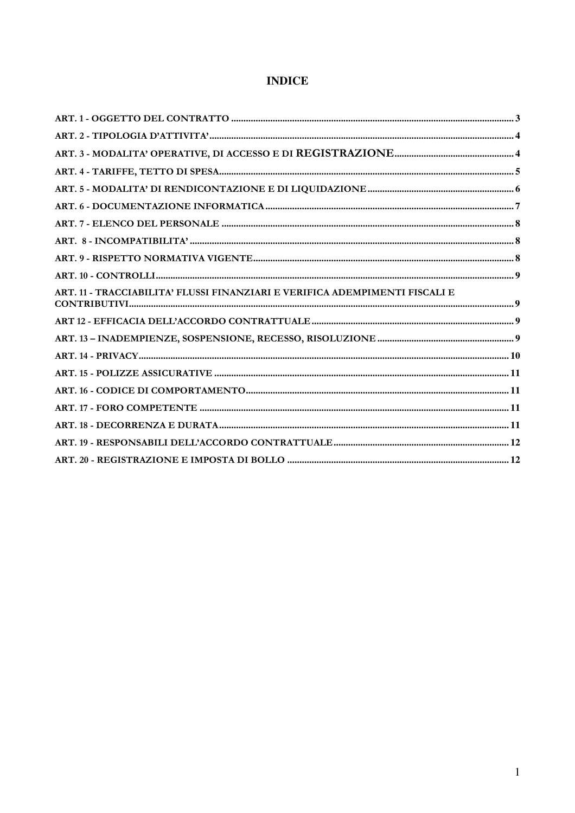# **INDICE**

| ART. 11 - TRACCIABILITA' FLUSSI FINANZIARI E VERIFICA ADEMPIMENTI FISCALI E |  |
|-----------------------------------------------------------------------------|--|
|                                                                             |  |
|                                                                             |  |
|                                                                             |  |
|                                                                             |  |
|                                                                             |  |
|                                                                             |  |
|                                                                             |  |
|                                                                             |  |
|                                                                             |  |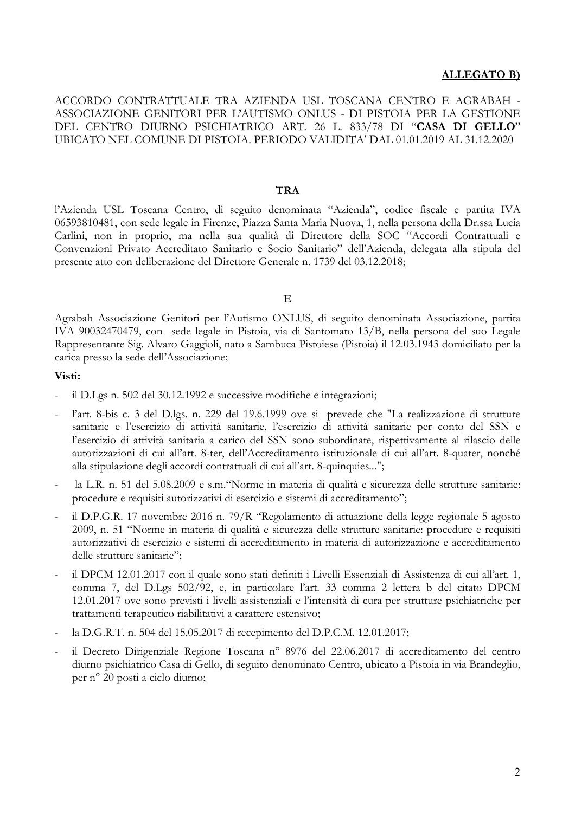#### **ALLEGATO B)**

ACCORDO CONTRATTUALE TRA AZIENDA USL TOSCANA CENTRO E AGRABAH -ASSOCIAZIONE GENITORI PER L'AUTISMO ONLUS - DI PISTOJA PER LA GESTIONE DEL CENTRO DIURNO PSICHIATRICO ART. 26 L. 833/78 DI "CASA DI GELLO" UBICATO NEL COMUNE DI PISTOIA. PERIODO VALIDITA' DAL 01.01.2019 AL 31.12.2020

#### **TRA**

l'Azienda USL Toscana Centro, di seguito denominata "Azienda", codice fiscale e partita IVA 06593810481, con sede legale in Firenze, Piazza Santa Maria Nuova, 1, nella persona della Dr.ssa Lucia Carlini, non in proprio, ma nella sua qualità di Direttore della SOC "Accordi Contrattuali e Convenzioni Privato Accreditato Sanitario e Socio Sanitario" dell'Azienda, delegata alla stipula del presente atto con deliberazione del Direttore Generale n. 1739 del 03.12.2018;

#### $\mathbf{E}$

Agrabah Associazione Genitori per l'Autismo ONLUS, di seguito denominata Associazione, partita IVA 90032470479, con sede legale in Pistoia, via di Santomato 13/B, nella persona del suo Legale Rappresentante Sig. Alvaro Gaggioli, nato a Sambuca Pistoiese (Pistoia) il 12.03.1943 domiciliato per la carica presso la sede dell'Associazione:

#### Visti:

- il D.Lgs n. 502 del 30.12.1992 e successive modifiche e integrazioni;
- l'art. 8-bis c. 3 del D.lgs. n. 229 del 19.6.1999 ove si prevede che "La realizzazione di strutture sanitarie e l'esercizio di attività sanitarie, l'esercizio di attività sanitarie per conto del SSN e l'esercizio di attività sanitaria a carico del SSN sono subordinate, rispettivamente al rilascio delle autorizzazioni di cui all'art. 8-ter, dell'Accreditamento istituzionale di cui all'art. 8-quater, nonché alla stipulazione degli accordi contrattuali di cui all'art. 8-quinquies...";
- la L.R. n. 51 del 5.08.2009 e s.m. "Norme in materia di qualità e sicurezza delle strutture sanitarie: procedure e requisiti autorizzativi di esercizio e sistemi di accreditamento";
- il D.P.G.R. 17 novembre 2016 n. 79/R "Regolamento di attuazione della legge regionale 5 agosto 2009, n. 51 "Norme in materia di qualità e sicurezza delle strutture sanitarie: procedure e requisiti autorizzativi di esercizio e sistemi di accreditamento in materia di autorizzazione e accreditamento delle strutture sanitarie";
- il DPCM 12.01.2017 con il quale sono stati definiti i Livelli Essenziali di Assistenza di cui all'art. 1, comma 7, del D.Lgs 502/92, e, in particolare l'art. 33 comma 2 lettera b del citato DPCM 12.01.2017 ove sono previsti i livelli assistenziali e l'intensità di cura per strutture psichiatriche per trattamenti terapeutico riabilitativi a carattere estensivo;
- la D.G.R.T. n. 504 del 15.05.2017 di recepimento del D.P.C.M. 12.01.2017;
- il Decreto Dirigenziale Regione Toscana nº 8976 del 22.06.2017 di accreditamento del centro diurno psichiatrico Casa di Gello, di seguito denominato Centro, ubicato a Pistoia in via Brandeglio, per nº 20 posti a ciclo diurno;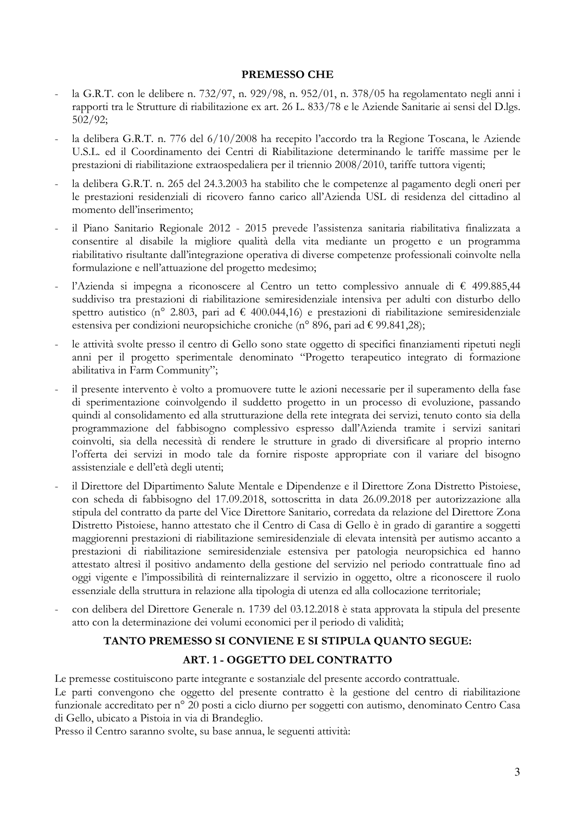#### PREMESSO CHE

- la G.R.T. con le delibere n. 732/97, n. 929/98, n. 952/01, n. 378/05 ha regolamentato negli anni i rapporti tra le Strutture di riabilitazione ex art. 26 L. 833/78 e le Aziende Sanitarie ai sensi del D.lgs.  $502/92;$
- la delibera G.R.T. n. 776 del 6/10/2008 ha recepito l'accordo tra la Regione Toscana, le Aziende U.S.L. ed il Coordinamento dei Centri di Riabilitazione determinando le tariffe massime per le prestazioni di riabilitazione extraospedaliera per il triennio 2008/2010, tariffe tuttora vigenti;
- la delibera G.R.T. n. 265 del 24.3.2003 ha stabilito che le competenze al pagamento degli oneri per le prestazioni residenziali di ricovero fanno carico all'Azienda USL di residenza del cittadino al momento dell'inserimento:
- il Piano Sanitario Regionale 2012 2015 prevede l'assistenza sanitaria riabilitativa finalizzata a consentire al disabile la migliore qualità della vita mediante un progetto e un programma riabilitativo risultante dall'integrazione operativa di diverse competenze professionali coinvolte nella formulazione e nell'attuazione del progetto medesimo;
- l'Azienda si impegna a riconoscere al Centro un tetto complessivo annuale di  $\epsilon$  499.885,44 suddiviso tra prestazioni di riabilitazione semiresidenziale intensiva per adulti con disturbo dello spettro autistico (nº 2.803, pari ad € 400.044,16) e prestazioni di riabilitazione semiresidenziale estensiva per condizioni neuropsichiche croniche (n° 896, pari ad € 99.841,28);
- le attività svolte presso il centro di Gello sono state oggetto di specifici finanziamenti ripetuti negli anni per il progetto sperimentale denominato "Progetto terapeutico integrato di formazione abilitativa in Farm Community";
- il presente intervento è volto a promuovere tutte le azioni necessarie per il superamento della fase di sperimentazione coinvolgendo il suddetto progetto in un processo di evoluzione, passando quindi al consolidamento ed alla strutturazione della rete integrata dei servizi, tenuto conto sia della programmazione del fabbisogno complessivo espresso dall'Azienda tramite i servizi sanitari coinvolti, sia della necessità di rendere le strutture in grado di diversificare al proprio interno l'offerta dei servizi in modo tale da fornire risposte appropriate con il variare del bisogno assistenziale e dell'età degli utenti;
- il Direttore del Dipartimento Salute Mentale e Dipendenze e il Direttore Zona Distretto Pistoiese, con scheda di fabbisogno del 17.09.2018, sottoscritta in data 26.09.2018 per autorizzazione alla stipula del contratto da parte del Vice Direttore Sanitario, corredata da relazione del Direttore Zona Distretto Pistoiese, hanno attestato che il Centro di Casa di Gello è in grado di garantire a soggetti maggiorenni prestazioni di riabilitazione semiresidenziale di elevata intensità per autismo accanto a prestazioni di riabilitazione semiresidenziale estensiva per patologia neuropsichica ed hanno attestato altresì il positivo andamento della gestione del servizio nel periodo contrattuale fino ad oggi vigente e l'impossibilità di reinternalizzare il servizio in oggetto, oltre a riconoscere il ruolo essenziale della struttura in relazione alla tipologia di utenza ed alla collocazione territoriale;
- con delibera del Direttore Generale n. 1739 del 03.12.2018 è stata approvata la stipula del presente atto con la determinazione dei volumi economici per il periodo di validità;

# TANTO PREMESSO SI CONVIENE E SI STIPULA QUANTO SEGUE: ART. 1 - OGGETTO DEL CONTRATTO

Le premesse costituiscono parte integrante e sostanziale del presente accordo contrattuale.

Le parti convengono che oggetto del presente contratto è la gestione del centro di riabilitazione funzionale accreditato per nº 20 posti a ciclo diurno per soggetti con autismo, denominato Centro Casa di Gello, ubicato a Pistoia in via di Brandeglio.

Presso il Centro saranno svolte, su base annua, le seguenti attività: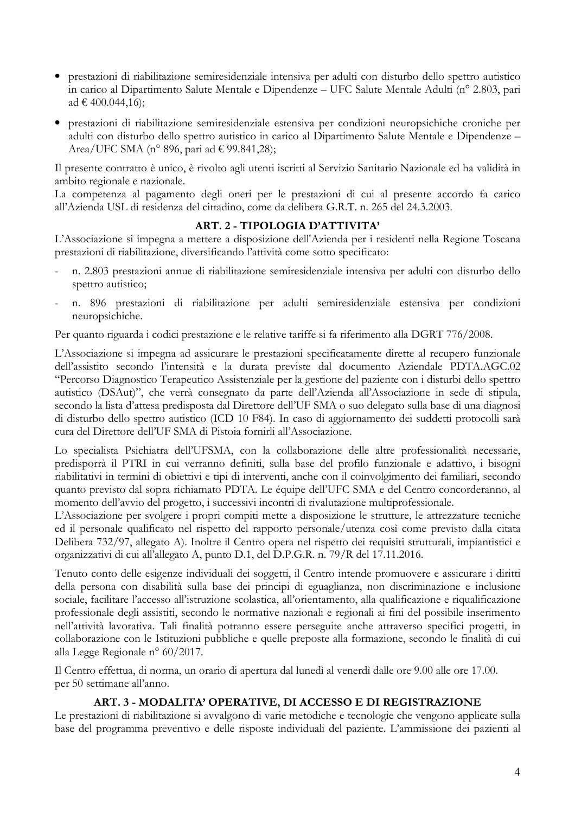- · prestazioni di riabilitazione semiresidenziale intensiva per adulti con disturbo dello spettro autistico in carico al Dipartimento Salute Mentale e Dipendenze - UFC Salute Mentale Adulti (nº 2.803, pari ad  $\in$  400.044,16);
- · prestazioni di riabilitazione semiresidenziale estensiva per condizioni neuropsichiche croniche per adulti con disturbo dello spettro autistico in carico al Dipartimento Salute Mentale e Dipendenze -Area/UFC SMA (n° 896, pari ad € 99.841,28);

Il presente contratto è unico, è rivolto agli utenti iscritti al Servizio Sanitario Nazionale ed ha validità in ambito regionale e nazionale.

La competenza al pagamento degli oneri per le prestazioni di cui al presente accordo fa carico all'Azienda USL di residenza del cittadino, come da delibera G.R.T. n. 265 del 24.3.2003.

## ART. 2 - TIPOLOGIA D'ATTIVITA'

L'Associazione si impegna a mettere a disposizione dell'Azienda per i residenti nella Regione Toscana prestazioni di riabilitazione, diversificando l'attività come sotto specificato:

- n. 2.803 prestazioni annue di riabilitazione semiresidenziale intensiva per adulti con disturbo dello spettro autistico;
- n. 896 prestazioni di riabilitazione per adulti semiresidenziale estensiva per condizioni neuropsichiche.

Per quanto riguarda i codici prestazione e le relative tariffe si fa riferimento alla DGRT 776/2008.

L'Associazione si impegna ad assicurare le prestazioni specificatamente dirette al recupero funzionale dell'assistito secondo l'intensità e la durata previste dal documento Aziendale PDTA.AGC.02 "Percorso Diagnostico Terapeutico Assistenziale per la gestione del paziente con i disturbi dello spettro autistico (DSAut)", che verrà consegnato da parte dell'Azienda all'Associazione in sede di stipula, secondo la lista d'attesa predisposta dal Direttore dell'UF SMA o suo delegato sulla base di una diagnosi di disturbo dello spettro autistico (ICD 10 F84). In caso di aggiornamento dei suddetti protocolli sarà cura del Direttore dell'UF SMA di Pistoia fornirli all'Associazione.

Lo specialista Psichiatra dell'UFSMA, con la collaborazione delle altre professionalità necessarie, predisporrà il PTRI in cui verranno definiti, sulla base del profilo funzionale e adattivo, i bisogni riabilitativi in termini di obiettivi e tipi di interventi, anche con il coinvolgimento dei familiari, secondo quanto previsto dal sopra richiamato PDTA. Le équipe dell'UFC SMA e del Centro concorderanno, al momento dell'avvio del progetto, i successivi incontri di rivalutazione multiprofessionale.

L'Associazione per svolgere i propri compiti mette a disposizione le strutture, le attrezzature tecniche ed il personale qualificato nel rispetto del rapporto personale/utenza così come previsto dalla citata Delibera 732/97, allegato A). Inoltre il Centro opera nel rispetto dei requisiti strutturali, impiantistici e organizzativi di cui all'allegato A, punto D.1, del D.P.G.R. n. 79/R del 17.11.2016.

Tenuto conto delle esigenze individuali dei soggetti, il Centro intende promuovere e assicurare i diritti della persona con disabilità sulla base dei principi di eguaglianza, non discriminazione e inclusione sociale, facilitare l'accesso all'istruzione scolastica, all'orientamento, alla qualificazione e riqualificazione professionale degli assistiti, secondo le normative nazionali e regionali ai fini del possibile inserimento nell'attività lavorativa. Tali finalità potranno essere perseguite anche attraverso specifici progetti, in collaborazione con le Istituzioni pubbliche e quelle preposte alla formazione, secondo le finalità di cui alla Legge Regionale nº 60/2017.

Il Centro effettua, di norma, un orario di apertura dal lunedì al venerdì dalle ore 9.00 alle ore 17.00. per 50 settimane all'anno.

# ART. 3 - MODALITA' OPERATIVE, DI ACCESSO E DI REGISTRAZIONE

Le prestazioni di riabilitazione si avvalgono di varie metodiche e tecnologie che vengono applicate sulla base del programma preventivo e delle risposte individuali del paziente. L'ammissione dei pazienti al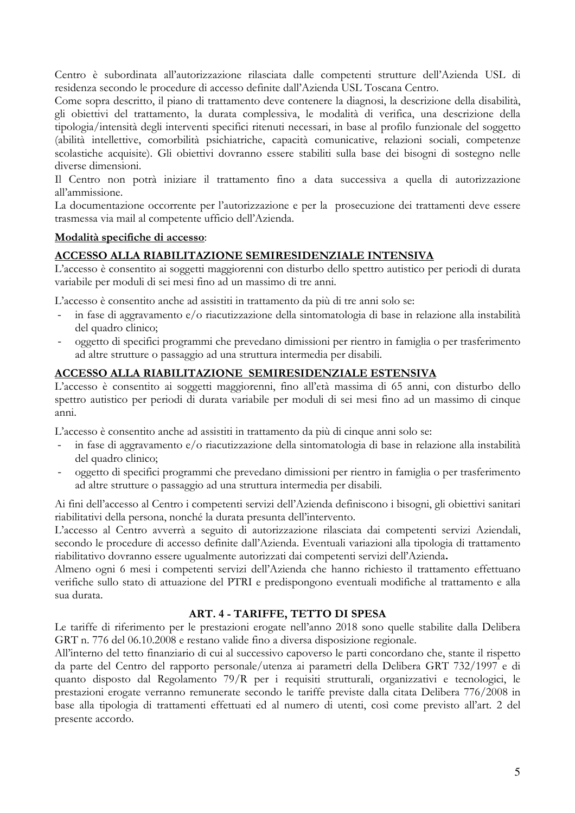Centro è subordinata all'autorizzazione rilasciata dalle competenti strutture dell'Azienda USL di residenza secondo le procedure di accesso definite dall'Azienda USL Toscana Centro.

Come sopra descritto, il piano di trattamento deve contenere la diagnosi, la descrizione della disabilità, gli obiettivi del trattamento, la durata complessiva, le modalità di verifica, una descrizione della tipologia/intensità degli interventi specifici ritenuti necessari, in base al profilo funzionale del soggetto (abilità intellettive, comorbilità psichiatriche, capacità comunicative, relazioni sociali, competenze scolastiche acquisite). Gli obiettivi dovranno essere stabiliti sulla base dei bisogni di sostegno nelle diverse dimensioni.

Il Centro non potrà iniziare il trattamento fino a data successiva a quella di autorizzazione all'ammissione.

La documentazione occorrente per l'autorizzazione e per la prosecuzione dei trattamenti deve essere trasmessa via mail al competente ufficio dell'Azienda.

### Modalità specifiche di accesso:

## ACCESSO ALLA RIABILITAZIONE SEMIRESIDENZIALE INTENSIVA

L'accesso è consentito ai soggetti maggiorenni con disturbo dello spettro autistico per periodi di durata variabile per moduli di sei mesi fino ad un massimo di tre anni.

L'accesso è consentito anche ad assistiti in trattamento da più di tre anni solo se:

- in fase di aggravamento e/o riacutizzazione della sintomatologia di base in relazione alla instabilità del quadro clinico;
- oggetto di specifici programmi che prevedano dimissioni per rientro in famiglia o per trasferimento  $\Box$ ad altre strutture o passaggio ad una struttura intermedia per disabili.

# ACCESSO ALLA RIABILITAZIONE SEMIRESIDENZIALE ESTENSIVA

L'accesso è consentito ai soggetti maggiorenni, fino all'età massima di 65 anni, con disturbo dello spettro autistico per periodi di durata variabile per moduli di sei mesi fino ad un massimo di cinque anni.

L'accesso è consentito anche ad assistiti in trattamento da più di cinque anni solo se:

- in fase di aggravamento e/o riacutizzazione della sintomatologia di base in relazione alla instabilità del quadro clinico;
- oggetto di specifici programmi che prevedano dimissioni per rientro in famiglia o per trasferimento  $\overline{a}$ ad altre strutture o passaggio ad una struttura intermedia per disabili.

Ai fini dell'accesso al Centro i competenti servizi dell'Azienda definiscono i bisogni, gli obiettivi sanitari riabilitativi della persona, nonché la durata presunta dell'intervento.

L'accesso al Centro avverrà a seguito di autorizzazione rilasciata dai competenti servizi Aziendali, secondo le procedure di accesso definite dall'Azienda. Eventuali variazioni alla tipologia di trattamento riabilitativo dovranno essere ugualmente autorizzati dai competenti servizi dell'Azienda.

Almeno ogni 6 mesi i competenti servizi dell'Azienda che hanno richiesto il trattamento effettuano verifiche sullo stato di attuazione del PTRI e predispongono eventuali modifiche al trattamento e alla sua durata.

#### ART. 4 - TARIFFE, TETTO DI SPESA

Le tariffe di riferimento per le prestazioni erogate nell'anno 2018 sono quelle stabilite dalla Delibera GRT n. 776 del 06.10.2008 e restano valide fino a diversa disposizione regionale.

All'interno del tetto finanziario di cui al successivo capoverso le parti concordano che, stante il rispetto da parte del Centro del rapporto personale/utenza ai parametri della Delibera GRT 732/1997 e di quanto disposto dal Regolamento 79/R per i requisiti strutturali, organizzativi e tecnologici, le prestazioni erogate verranno remunerate secondo le tariffe previste dalla citata Delibera 776/2008 in base alla tipologia di trattamenti effettuati ed al numero di utenti, così come previsto all'art. 2 del presente accordo.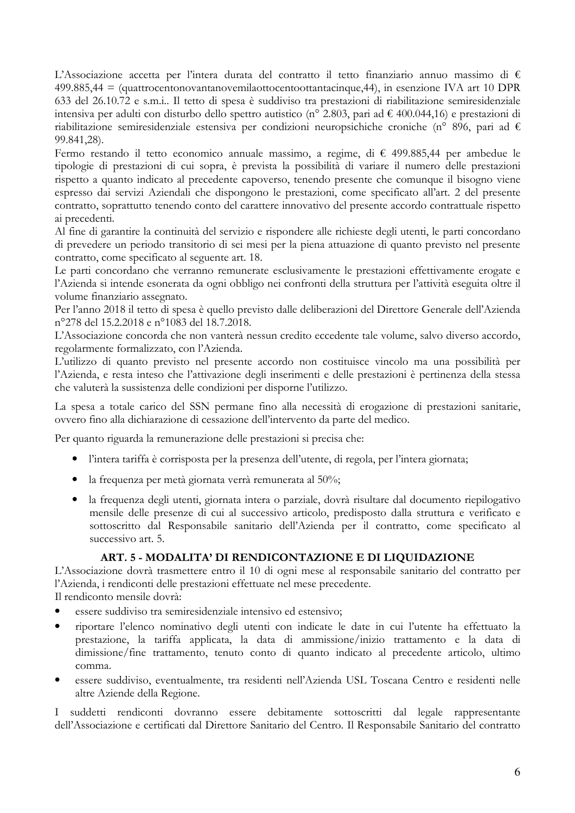L'Associazione accetta per l'intera durata del contratto il tetto finanziario annuo massimo di  $\epsilon$  $499.885,44 =$  (quattrocentonovantanovemilaottocentoottantacingue, 44), in esenzione IVA art 10 DPR 633 del 26.10.72 e s.m.i.. Il tetto di spesa è suddiviso tra prestazioni di riabilitazione semiresidenziale intensiva per adulti con disturbo dello spettro autistico (nº 2.803, pari ad € 400.044,16) e prestazioni di riabilitazione semiresidenziale estensiva per condizioni neuropsichiche croniche (n° 896, pari ad € 99.841.28).

Fermo restando il tetto economico annuale massimo, a regime, di  $\epsilon$  499.885,44 per ambedue le tipologie di prestazioni di cui sopra, è prevista la possibilità di variare il numero delle prestazioni rispetto a quanto indicato al precedente capoverso, tenendo presente che comunque il bisogno viene espresso dai servizi Aziendali che dispongono le prestazioni, come specificato all'art. 2 del presente contratto, soprattutto tenendo conto del carattere innovativo del presente accordo contrattuale rispetto ai precedenti.

Al fine di garantire la continuità del servizio e rispondere alle richieste degli utenti, le parti concordano di prevedere un periodo transitorio di sei mesi per la piena attuazione di quanto previsto nel presente contratto, come specificato al seguente art. 18.

Le parti concordano che verranno remunerate esclusivamente le prestazioni effettivamente erogate e l'Azienda si intende esonerata da ogni obbligo nei confronti della struttura per l'attività eseguita oltre il volume finanziario assegnato.

Per l'anno 2018 il tetto di spesa è quello previsto dalle deliberazioni del Direttore Generale dell'Azienda n°278 del 15.2.2018 e n°1083 del 18.7.2018.

L'Associazione concorda che non vanterà nessun credito eccedente tale volume, salvo diverso accordo, regolarmente formalizzato, con l'Azienda.

L'utilizzo di quanto previsto nel presente accordo non costituisce vincolo ma una possibilità per l'Azienda, e resta inteso che l'attivazione degli inserimenti e delle prestazioni è pertinenza della stessa che valuterà la sussistenza delle condizioni per disporne l'utilizzo.

La spesa a totale carico del SSN permane fino alla necessità di erogazione di prestazioni sanitarie, ovvero fino alla dichiarazione di cessazione dell'intervento da parte del medico.

Per quanto riguarda la remunerazione delle prestazioni si precisa che:

- · l'intera tariffa è corrisposta per la presenza dell'utente, di regola, per l'intera giornata;
- · la frequenza per metà giornata verrà remunerata al 50%;
- · la frequenza degli utenti, giornata intera o parziale, dovrà risultare dal documento riepilogativo mensile delle presenze di cui al successivo articolo, predisposto dalla struttura e verificato e sottoscritto dal Responsabile sanitario dell'Azienda per il contratto, come specificato al successivo art. 5.

# ART. 5 - MODALITA' DI RENDICONTAZIONE E DI LIQUIDAZIONE

L'Associazione dovrà trasmettere entro il 10 di ogni mese al responsabile sanitario del contratto per l'Azienda, i rendiconti delle prestazioni effettuate nel mese precedente.

Il rendiconto mensile dovrà:

- essere suddiviso tra semiresidenziale intensivo ed estensivo;
- riportare l'elenco nominativo degli utenti con indicate le date in cui l'utente ha effettuato la prestazione, la tariffa applicata, la data di ammissione/inizio trattamento e la data di dimissione/fine trattamento, tenuto conto di quanto indicato al precedente articolo, ultimo comma.
- essere suddiviso, eventualmente, tra residenti nell'Azienda USL Toscana Centro e residenti nelle altre Aziende della Regione.

I suddetti rendiconti dovranno essere debitamente sottoscritti dal legale rappresentante dell'Associazione e certificati dal Direttore Sanitario del Centro. Il Responsabile Sanitario del contratto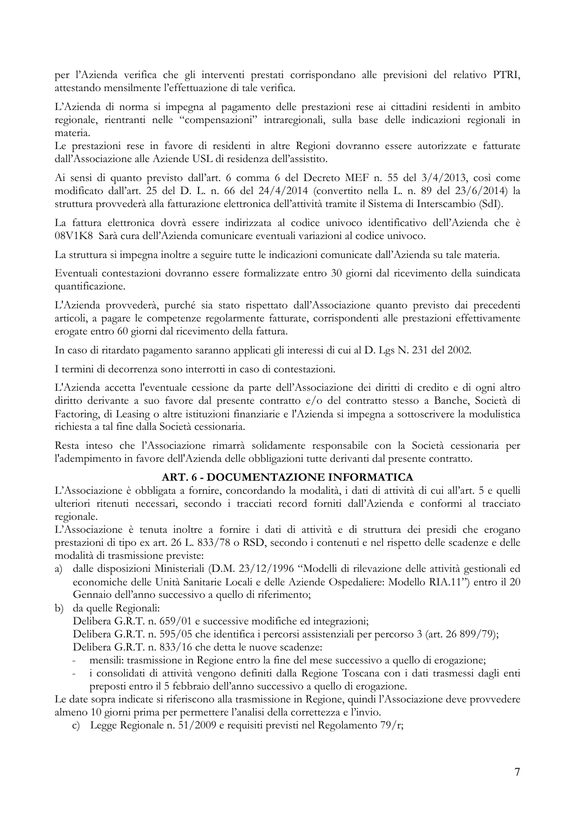per l'Azienda verifica che gli interventi prestati corrispondano alle previsioni del relativo PTRI, attestando mensilmente l'effettuazione di tale verifica.

L'Azienda di norma si impegna al pagamento delle prestazioni rese ai cittadini residenti in ambito regionale, rientranti nelle "compensazioni" intraregionali, sulla base delle indicazioni regionali in materia.

Le prestazioni rese in favore di residenti in altre Regioni dovranno essere autorizzate e fatturate dall'Associazione alle Aziende USL di residenza dell'assistito.

Ai sensi di quanto previsto dall'art. 6 comma 6 del Decreto MEF n. 55 del 3/4/2013, così come modificato dall'art. 25 del D. L. n. 66 del 24/4/2014 (convertito nella L. n. 89 del 23/6/2014) la struttura provvederà alla fatturazione elettronica dell'attività tramite il Sistema di Interscambio (SdI).

La fattura elettronica dovrà essere indirizzata al codice univoco identificativo dell'Azienda che è 08V1K8 Sarà cura dell'Azienda comunicare eventuali variazioni al codice univoco.

La struttura si impegna inoltre a seguire tutte le indicazioni comunicate dall'Azienda su tale materia.

Eventuali contestazioni dovranno essere formalizzate entro 30 giorni dal ricevimento della suindicata quantificazione.

L'Azienda provvederà, purché sia stato rispettato dall'Associazione quanto previsto dai precedenti articoli, a pagare le competenze regolarmente fatturate, corrispondenti alle prestazioni effettivamente erogate entro 60 giorni dal ricevimento della fattura.

In caso di ritardato pagamento saranno applicati gli interessi di cui al D. Lgs N. 231 del 2002.

I termini di decorrenza sono interrotti in caso di contestazioni.

L'Azienda accetta l'eventuale cessione da parte dell'Associazione dei diritti di credito e di ogni altro diritto derivante a suo favore dal presente contratto e/o del contratto stesso a Banche, Società di Factoring, di Leasing o altre istituzioni finanziarie e l'Azienda si impegna a sottoscrivere la modulistica richiesta a tal fine dalla Società cessionaria.

Resta inteso che l'Associazione rimarrà solidamente responsabile con la Società cessionaria per l'adempimento in favore dell'Azienda delle obbligazioni tutte derivanti dal presente contratto.

#### ART. 6 - DOCUMENTAZIONE INFORMATICA

L'Associazione è obbligata a fornire, concordando la modalità, i dati di attività di cui all'art. 5 e quelli ulteriori ritenuti necessari, secondo i tracciati record forniti dall'Azienda e conformi al tracciato regionale.

L'Associazione è tenuta inoltre a fornire i dati di attività e di struttura dei presidi che erogano prestazioni di tipo ex art. 26 L. 833/78 o RSD, secondo i contenuti e nel rispetto delle scadenze e delle modalità di trasmissione previste:

a) dalle disposizioni Ministeriali (D.M. 23/12/1996 "Modelli di rilevazione delle attività gestionali ed economiche delle Unità Sanitarie Locali e delle Aziende Ospedaliere: Modello RIA.11") entro il 20 Gennaio dell'anno successivo a quello di riferimento;

b) da quelle Regionali:

Delibera G.R.T. n. 659/01 e successive modifiche ed integrazioni;

Delibera G.R.T. n. 595/05 che identifica i percorsi assistenziali per percorso 3 (art. 26 899/79); Delibera G.R.T. n. 833/16 che detta le nuove scadenze:

- mensili: trasmissione in Regione entro la fine del mese successivo a quello di erogazione;
- i consolidati di attività vengono definiti dalla Regione Toscana con i dati trasmessi dagli enti preposti entro il 5 febbraio dell'anno successivo a quello di erogazione.

Le date sopra indicate si riferiscono alla trasmissione in Regione, quindi l'Associazione deve provvedere almeno 10 giorni prima per permettere l'analisi della correttezza e l'invio.

c) Legge Regionale n.  $51/2009$  e requisiti previsti nel Regolamento 79/r;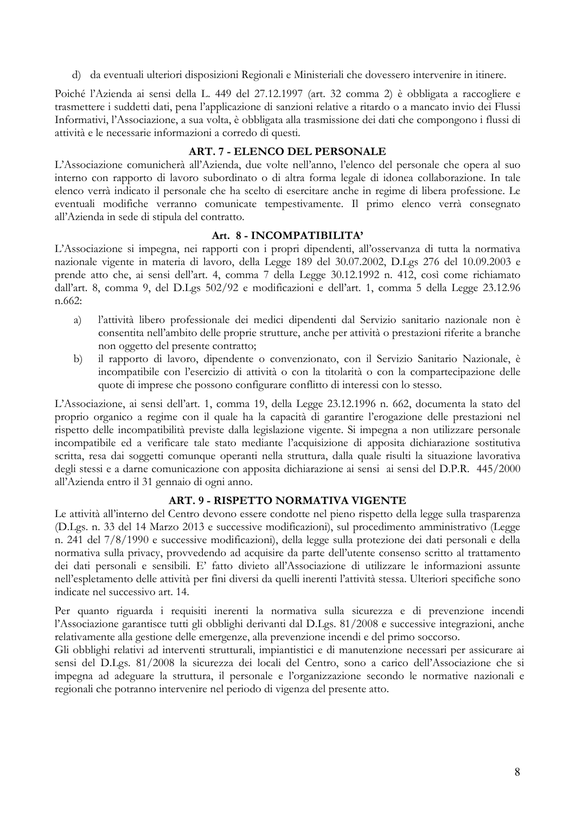d) da eventuali ulteriori disposizioni Regionali e Ministeriali che dovessero intervenire in itinere.

Poiché l'Azienda ai sensi della L. 449 del 27.12.1997 (art. 32 comma 2) è obbligata a raccogliere e trasmettere i suddetti dati, pena l'applicazione di sanzioni relative a ritardo o a mancato invio dei Flussi Informativi, l'Associazione, a sua volta, è obbligata alla trasmissione dei dati che compongono i flussi di attività e le necessarie informazioni a corredo di questi.

# ART. 7 - ELENCO DEL PERSONALE

L'Associazione comunicherà all'Azienda, due volte nell'anno. l'elenco del personale che opera al suo interno con rapporto di lavoro subordinato o di altra forma legale di idonea collaborazione. In tale elenco verrà indicato il personale che ha scelto di esercitare anche in regime di libera professione. Le eventuali modifiche verranno comunicate tempestivamente. Il primo elenco verrà consegnato all'Azienda in sede di stipula del contratto.

#### Art. 8 - INCOMPATIBILITA'

L'Associazione si impegna, nei rapporti con i propri dipendenti, all'osservanza di tutta la normativa nazionale vigente in materia di lavoro, della Legge 189 del 30.07.2002, D.Lgs 276 del 10.09.2003 e prende atto che, ai sensi dell'art. 4, comma 7 della Legge 30.12.1992 n. 412, così come richiamato dall'art. 8, comma 9, del D.Lgs 502/92 e modificazioni e dell'art. 1, comma 5 della Legge 23.12.96 n.662:

- l'attività libero professionale dei medici dipendenti dal Servizio sanitario nazionale non è a) consentita nell'ambito delle proprie strutture, anche per attività o prestazioni riferite a branche non oggetto del presente contratto;
- $b)$ il rapporto di lavoro, dipendente o convenzionato, con il Servizio Sanitario Nazionale, è incompatibile con l'esercizio di attività o con la titolarità o con la compartecipazione delle quote di imprese che possono configurare conflitto di interessi con lo stesso.

L'Associazione, ai sensi dell'art. 1, comma 19, della Legge 23.12.1996 n. 662, documenta la stato del proprio organico a regime con il quale ha la capacità di garantire l'erogazione delle prestazioni nel rispetto delle incompatibilità previste dalla legislazione vigente. Si impegna a non utilizzare personale incompatibile ed a verificare tale stato mediante l'acquisizione di apposita dichiarazione sostitutiva scritta, resa dai soggetti comunque operanti nella struttura, dalla quale risulti la situazione lavorativa degli stessi e a darne comunicazione con apposita dichiarazione ai sensi ai sensi del D.P.R. 445/2000 all'Azienda entro il 31 gennaio di ogni anno.

### ART. 9 - RISPETTO NORMATIVA VIGENTE

Le attività all'interno del Centro devono essere condotte nel pieno rispetto della legge sulla trasparenza (D.Lgs. n. 33 del 14 Marzo 2013 e successive modificazioni), sul procedimento amministrativo (Legge n. 241 del 7/8/1990 e successive modificazioni), della legge sulla protezione dei dati personali e della normativa sulla privacy, provvedendo ad acquisire da parte dell'utente consenso scritto al trattamento dei dati personali e sensibili. E' fatto divieto all'Associazione di utilizzare le informazioni assunte nell'espletamento delle attività per fini diversi da quelli inerenti l'attività stessa. Ulteriori specifiche sono indicate nel successivo art. 14.

Per quanto riguarda i requisiti inerenti la normativa sulla sicurezza e di prevenzione incendi l'Associazione garantisce tutti gli obblighi derivanti dal D.Lgs. 81/2008 e successive integrazioni, anche relativamente alla gestione delle emergenze, alla prevenzione incendi e del primo soccorso.

Gli obblighi relativi ad interventi strutturali, impiantistici e di manutenzione necessari per assicurare ai sensi del D.Lgs. 81/2008 la sicurezza dei locali del Centro, sono a carico dell'Associazione che si impegna ad adeguare la struttura, il personale e l'organizzazione secondo le normative nazionali e regionali che potranno intervenire nel periodo di vigenza del presente atto.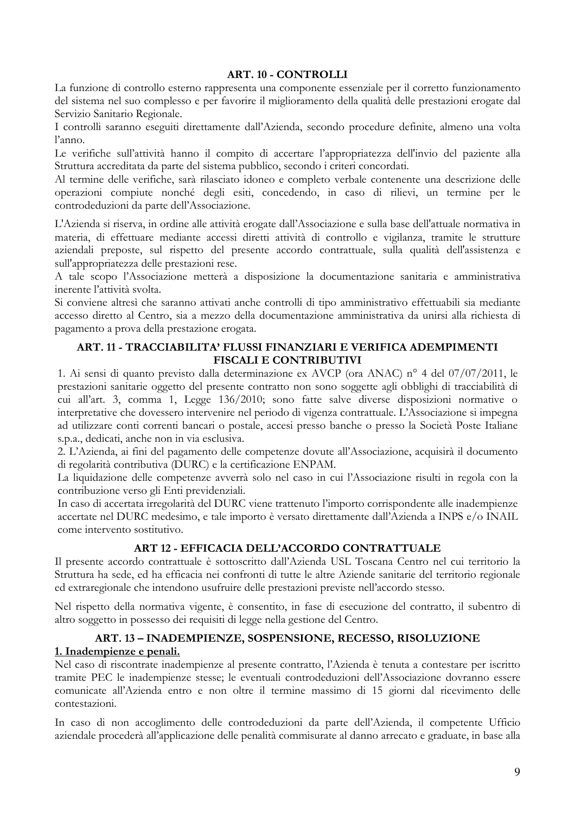## **ART. 10 - CONTROLLI**

La funzione di controllo esterno rappresenta una componente essenziale per il corretto funzionamento del sistema nel suo complesso e per favorire il miglioramento della qualità delle prestazioni erogate dal Servizio Sanitario Regionale.

I controlli saranno eseguiti direttamente dall'Azienda, secondo procedure definite, almeno una volta  $l'$ anno.

Le verifiche sull'attività hanno il compito di accertare l'appropriatezza dell'invio del paziente alla Struttura accreditata da parte del sistema pubblico, secondo i criteri concordati.

Al termine delle verifiche, sarà rilasciato idoneo e completo verbale contenente una descrizione delle operazioni compiute nonché degli esiti, concedendo, in caso di rilievi, un termine per le controdeduzioni da parte dell'Associazione.

L'Azienda si riserva, in ordine alle attività erogate dall'Associazione e sulla base dell'attuale normativa in materia, di effettuare mediante accessi diretti attività di controllo e vigilanza, tramite le strutture aziendali preposte, sul rispetto del presente accordo contrattuale, sulla qualità dell'assistenza e sull'appropriatezza delle prestazioni rese.

A tale scopo l'Associazione metterà a disposizione la documentazione sanitaria e amministrativa inerente l'attività svolta.

Si conviene altresì che saranno attivati anche controlli di tipo amministrativo effettuabili sia mediante accesso diretto al Centro, sia a mezzo della documentazione amministrativa da unirsi alla richiesta di pagamento a prova della prestazione erogata.

# ART, 11 - TRACCIABILITA' FLUSSI FINANZIARI E VERIFICA ADEMPIMENTI **FISCALI E CONTRIBUTIVI**

1. Ai sensi di quanto previsto dalla determinazione ex AVCP (ora ANAC) nº 4 del 07/07/2011, le prestazioni sanitarie oggetto del presente contratto non sono soggette agli obblighi di tracciabilità di cui all'art. 3, comma 1, Legge 136/2010; sono fatte salve diverse disposizioni normative o interpretative che dovessero intervenire nel periodo di vigenza contrattuale. L'Associazione si impegna ad utilizzare conti correnti bancari o postale, accesi presso banche o presso la Società Poste Italiane s.p.a., dedicati, anche non in via esclusiva.

2. L'Azienda, ai fini del pagamento delle competenze dovute all'Associazione, acquisirà il documento di regolarità contributiva (DURC) e la certificazione ENPAM.

La liquidazione delle competenze avverrà solo nel caso in cui l'Associazione risulti in regola con la contribuzione verso gli Enti previdenziali.

In caso di accertata irregolarità del DURC viene trattenuto l'importo corrispondente alle inadempienze accertate nel DURC medesimo, e tale importo è versato direttamente dall'Azienda a INPS e/o INAIL come intervento sostitutivo.

# ART 12 - EFFICACIA DELL'ACCORDO CONTRATTUALE

Il presente accordo contrattuale è sottoscritto dall'Azienda USL Toscana Centro nel cui territorio la Struttura ha sede, ed ha efficacia nei confronti di tutte le altre Aziende sanitarie del territorio regionale ed extraregionale che intendono usufruire delle prestazioni previste nell'accordo stesso.

Nel rispetto della normativa vigente, è consentito, in fase di esecuzione del contratto, il subentro di altro soggetto in possesso dei requisiti di legge nella gestione del Centro.

# ART. 13 - INADEMPIENZE, SOSPENSIONE, RECESSO, RISOLUZIONE 1. Inadempienze e penali.

Nel caso di riscontrate inadempienze al presente contratto, l'Azienda è tenuta a contestare per iscritto tramite PEC le inadempienze stesse; le eventuali controdeduzioni dell'Associazione dovranno essere comunicate all'Azienda entro e non oltre il termine massimo di 15 giorni dal ricevimento delle contestazioni.

In caso di non accoglimento delle controdeduzioni da parte dell'Azienda, il competente Ufficio aziendale procederà all'applicazione delle penalità commisurate al danno arrecato e graduate, in base alla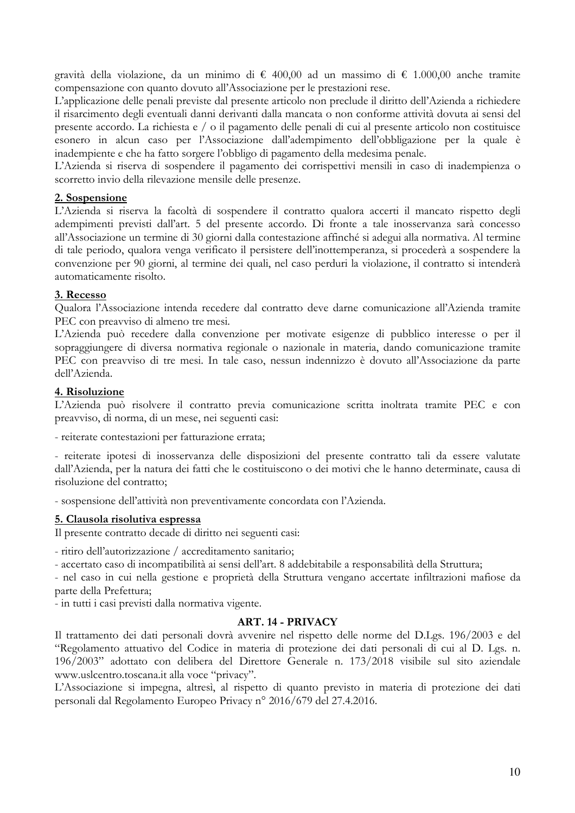gravità della violazione, da un minimo di  $\epsilon$  400,00 ad un massimo di  $\epsilon$  1.000,00 anche tramite compensazione con quanto dovuto all'Associazione per le prestazioni rese.

L'applicazione delle penali previste dal presente articolo non preclude il diritto dell'Azienda a richiedere il risarcimento degli eventuali danni derivanti dalla mancata o non conforme attività dovuta ai sensi del presente accordo. La richiesta e / o il pagamento delle penali di cui al presente articolo non costituisce esonero in alcun caso per l'Associazione dall'adempimento dell'obbligazione per la quale è inadempiente e che ha fatto sorgere l'obbligo di pagamento della medesima penale.

L'Azienda si riserva di sospendere il pagamento dei corrispettivi mensili in caso di inadempienza o scorretto invio della rilevazione mensile delle presenze.

#### 2. Sospensione

L'Azienda si riserva la facoltà di sospendere il contratto qualora accerti il mancato rispetto degli adempimenti previsti dall'art. 5 del presente accordo. Di fronte a tale inosservanza sarà concesso all'Associazione un termine di 30 giorni dalla contestazione affinché si adegui alla normativa. Al termine di tale periodo, qualora venga verificato il persistere dell'inottemperanza, si procederà a sospendere la convenzione per 90 giorni, al termine dei quali, nel caso perduri la violazione, il contratto si intenderà automaticamente risolto.

#### 3. Recesso

Qualora l'Associazione intenda recedere dal contratto deve darne comunicazione all'Azienda tramite PEC con preavviso di almeno tre mesi.

L'Azienda può recedere dalla convenzione per motivate esigenze di pubblico interesse o per il sopraggiungere di diversa normativa regionale o nazionale in materia, dando comunicazione tramite PEC con preavviso di tre mesi. In tale caso, nessun indennizzo è dovuto all'Associazione da parte dell'Azienda.

#### 4. Risoluzione

L'Azienda può risolvere il contratto previa comunicazione scritta inoltrata tramite PEC e con preavviso, di norma, di un mese, nei seguenti casi:

- reiterate contestazioni per fatturazione errata;

- reiterate ipotesi di inosservanza delle disposizioni del presente contratto tali da essere valutate dall'Azienda, per la natura dei fatti che le costituiscono o dei motivi che le hanno determinate, causa di risoluzione del contratto:

- sospensione dell'attività non preventivamente concordata con l'Azienda.

#### 5. Clausola risolutiva espressa

Il presente contratto decade di diritto nei seguenti casi:

- ritiro dell'autorizzazione / accreditamento sanitario;

- accertato caso di incompatibilità ai sensi dell'art. 8 addebitabile a responsabilità della Struttura;

- nel caso in cui nella gestione e proprietà della Struttura vengano accertate infiltrazioni mafiose da parte della Prefettura;

- in tutti i casi previsti dalla normativa vigente.

#### **ART. 14 - PRIVACY**

Il trattamento dei dati personali dovrà avvenire nel rispetto delle norme del D.Lgs. 196/2003 e del "Regolamento attuativo del Codice in materia di protezione dei dati personali di cui al D. Lgs. n. 196/2003" adottato con delibera del Direttore Generale n. 173/2018 visibile sul sito aziendale www.uslcentro.toscana.it alla voce "privacy".

L'Associazione si impegna, altresì, al rispetto di quanto previsto in materia di protezione dei dati personali dal Regolamento Europeo Privacy nº 2016/679 del 27.4.2016.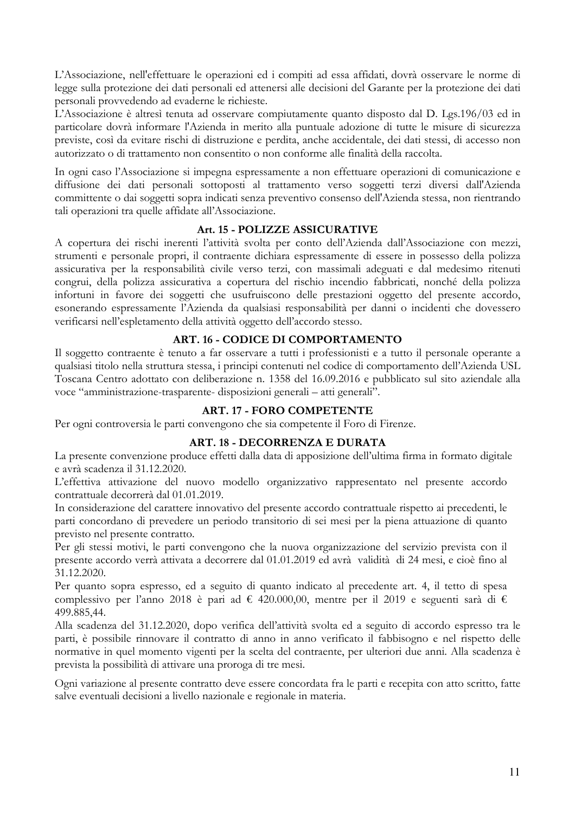L'Associazione, nell'effettuare le operazioni ed i compiti ad essa affidati, dovrà osservare le norme di legge sulla protezione dei dati personali ed attenersi alle decisioni del Garante per la protezione dei dati personali provvedendo ad evaderne le richieste.

L'Associazione è altresì tenuta ad osservare compiutamente quanto disposto dal D. Lgs.196/03 ed in particolare dovrà informare l'Azienda in merito alla puntuale adozione di tutte le misure di sicurezza previste, così da evitare rischi di distruzione e perdita, anche accidentale, dei dati stessi, di accesso non autorizzato o di trattamento non consentito o non conforme alle finalità della raccolta.

In ogni caso l'Associazione si impegna espressamente a non effettuare operazioni di comunicazione e diffusione dei dati personali sottoposti al trattamento verso soggetti terzi diversi dall'Azienda committente o dai soggetti sopra indicati senza preventivo consenso dell'Azienda stessa, non rientrando tali operazioni tra quelle affidate all'Associazione.

## Art. 15 - POLIZZE ASSICURATIVE

A copertura dei rischi inerenti l'attività svolta per conto dell'Azienda dall'Associazione con mezzi, strumenti e personale propri, il contraente dichiara espressamente di essere in possesso della polizza assicurativa per la responsabilità civile verso terzi, con massimali adeguati e dal medesimo ritenuti congrui, della polizza assicurativa a copertura del rischio incendio fabbricati, nonché della polizza infortuni in favore dei soggetti che usufruiscono delle prestazioni oggetto del presente accordo, esonerando espressamente l'Azienda da qualsiasi responsabilità per danni o incidenti che dovessero verificarsi nell'espletamento della attività oggetto dell'accordo stesso.

# ART. 16 - CODICE DI COMPORTAMENTO

Il soggetto contraente è tenuto a far osservare a tutti i professionisti e a tutto il personale operante a qualsiasi titolo nella struttura stessa, i principi contenuti nel codice di comportamento dell'Azienda USL Toscana Centro adottato con deliberazione n. 1358 del 16.09.2016 e pubblicato sul sito aziendale alla voce "amministrazione-trasparente- disposizioni generali – atti generali".

# **ART. 17 - FORO COMPETENTE**

Per ogni controversia le parti convengono che sia competente il Foro di Firenze.

# ART. 18 - DECORRENZA E DURATA

La presente convenzione produce effetti dalla data di apposizione dell'ultima firma in formato digitale e avrà scadenza il 31.12.2020.

L'effettiva attivazione del nuovo modello organizzativo rappresentato nel presente accordo contrattuale decorrerà dal 01.01.2019.

In considerazione del carattere innovativo del presente accordo contrattuale rispetto ai precedenti, le parti concordano di prevedere un periodo transitorio di sei mesi per la piena attuazione di quanto previsto nel presente contratto.

Per gli stessi motivi, le parti convengono che la nuova organizzazione del servizio prevista con il presente accordo verrà attivata a decorrere dal 01.01.2019 ed avrà validità di 24 mesi, e cioè fino al 31.12.2020.

Per quanto sopra espresso, ed a seguito di quanto indicato al precedente art. 4, il tetto di spesa complessivo per l'anno 2018 è pari ad € 420.000,00, mentre per il 2019 e seguenti sarà di € 499.885,44.

Alla scadenza del 31.12.2020, dopo verifica dell'attività svolta ed a seguito di accordo espresso tra le parti, è possibile rinnovare il contratto di anno in anno verificato il fabbisogno e nel rispetto delle normative in quel momento vigenti per la scelta del contraente, per ulteriori due anni. Alla scadenza è prevista la possibilità di attivare una proroga di tre mesi.

Ogni variazione al presente contratto deve essere concordata fra le parti e recepita con atto scritto, fatte salve eventuali decisioni a livello nazionale e regionale in materia.